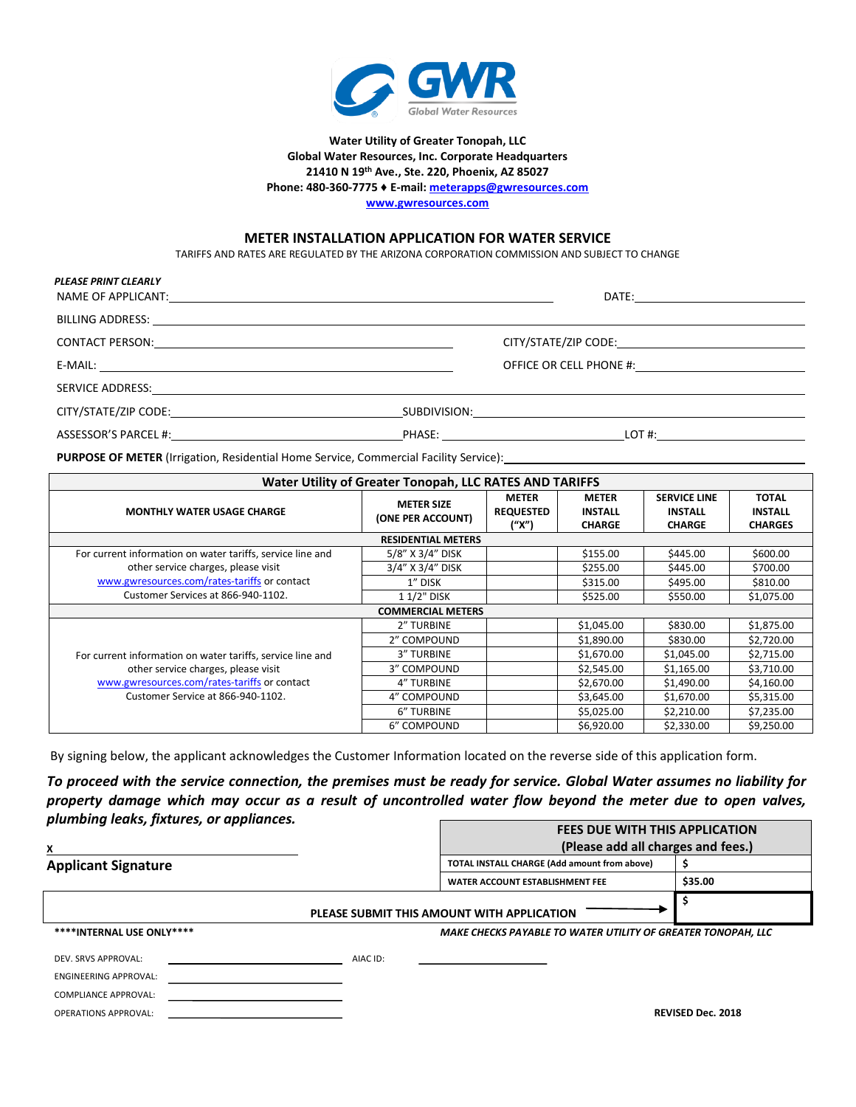

#### **Water Utility of Greater Tonopah, LLC Global Water Resources, Inc. Corporate Headquarters 21410 N 19th Ave., Ste. 220, Phoenix, AZ 85027 Phone: 480-360-7775 ♦ E-mail[: meterapps@gwresources.com](mailto:meterapps@gwresources.com)**

**[www.gwresources.com](http://www.gwresources.com/)**

#### **METER INSTALLATION APPLICATION FOR WATER SERVICE**

TARIFFS AND RATES ARE REGULATED BY THE ARIZONA CORPORATION COMMISSION AND SUBJECT TO CHANGE

| PLEASE PRINT CLEARLY |                                                                                                                                                                                                                                |  |
|----------------------|--------------------------------------------------------------------------------------------------------------------------------------------------------------------------------------------------------------------------------|--|
|                      |                                                                                                                                                                                                                                |  |
|                      |                                                                                                                                                                                                                                |  |
|                      | OFFICE OR CELL PHONE #:                                                                                                                                                                                                        |  |
|                      | SERVICE ADDRESS: And the contract of the contract of the contract of the contract of the contract of the contract of the contract of the contract of the contract of the contract of the contract of the contract of the contr |  |
|                      |                                                                                                                                                                                                                                |  |

ASSESSOR'S PARCEL #: PHASE: LOT #:

PURPOSE OF METER (Irrigation, Residential Home Service, Commercial Facility Service): 1988 1999 1999 1999 1999

| <b>Water Utility of Greater Tonopah, LLC RATES AND TARIFFS</b> |                                        |                                           |                                                 |                                                        |                                                  |  |  |  |
|----------------------------------------------------------------|----------------------------------------|-------------------------------------------|-------------------------------------------------|--------------------------------------------------------|--------------------------------------------------|--|--|--|
| <b>MONTHLY WATER USAGE CHARGE</b>                              | <b>METER SIZE</b><br>(ONE PER ACCOUNT) | <b>METER</b><br><b>REQUESTED</b><br>("X") | <b>METER</b><br><b>INSTALL</b><br><b>CHARGE</b> | <b>SERVICE LINE</b><br><b>INSTALL</b><br><b>CHARGE</b> | <b>TOTAL</b><br><b>INSTALL</b><br><b>CHARGES</b> |  |  |  |
| <b>RESIDENTIAL METERS</b>                                      |                                        |                                           |                                                 |                                                        |                                                  |  |  |  |
| For current information on water tariffs, service line and     | 5/8" X 3/4" DISK                       |                                           | \$155.00                                        | \$445.00                                               | \$600.00                                         |  |  |  |
| other service charges, please visit                            | 3/4" X 3/4" DISK                       |                                           | \$255.00                                        | \$445.00                                               | \$700.00                                         |  |  |  |
| www.gwresources.com/rates-tariffs or contact                   | 1" DISK                                |                                           | \$315.00                                        | \$495.00                                               | \$810.00                                         |  |  |  |
| Customer Services at 866-940-1102.                             | 1 1/2" DISK                            |                                           | \$525.00                                        | \$550.00                                               | \$1,075.00                                       |  |  |  |
|                                                                | <b>COMMERCIAL METERS</b>               |                                           |                                                 |                                                        |                                                  |  |  |  |
|                                                                | 2" TURBINE                             |                                           | \$1,045.00                                      | \$830.00                                               | \$1,875.00                                       |  |  |  |
|                                                                | 2" COMPOUND                            |                                           | \$1,890.00                                      | \$830.00                                               | \$2,720.00                                       |  |  |  |
| For current information on water tariffs, service line and     | <b>3" TURBINE</b>                      |                                           | \$1,670.00                                      | \$1,045.00                                             | \$2,715.00                                       |  |  |  |
| other service charges, please visit                            | 3" COMPOUND                            |                                           | \$2,545.00                                      | \$1,165.00                                             | \$3,710.00                                       |  |  |  |
| www.gwresources.com/rates-tariffs or contact                   | 4" TURBINE                             |                                           | \$2,670.00                                      | \$1,490.00                                             | \$4,160.00                                       |  |  |  |
| Customer Service at 866-940-1102.                              | 4" COMPOUND                            |                                           | \$3,645.00                                      | \$1,670.00                                             | \$5,315.00                                       |  |  |  |
|                                                                | 6" TURBINE                             |                                           | \$5,025.00                                      | \$2,210.00                                             | \$7,235.00                                       |  |  |  |
|                                                                | 6" COMPOUND                            |                                           | \$6,920.00                                      | \$2,330.00                                             | \$9,250.00                                       |  |  |  |

By signing below, the applicant acknowledges the Customer Information located on the reverse side of this application form.

*To proceed with the service connection, the premises must be ready for service. Global Water assumes no liability for property damage which may occur as a result of uncontrolled water flow beyond the meter due to open valves, plumbing leaks, fixtures, or appliances.*  **FEES DUE WITH THIS APPLICATION**

|                              |          | FEES DUE WITH THIS APPLICATION                               |                          |  |
|------------------------------|----------|--------------------------------------------------------------|--------------------------|--|
| X                            |          | (Please add all charges and fees.)                           |                          |  |
| <b>Applicant Signature</b>   |          | TOTAL INSTALL CHARGE (Add amount from above)                 |                          |  |
|                              |          | WATER ACCOUNT ESTABLISHMENT FEE                              | \$35.00                  |  |
|                              |          | PLEASE SUBMIT THIS AMOUNT WITH APPLICATION                   |                          |  |
| ****INTERNAL USE ONLY****    |          | MAKE CHECKS PAYABLE TO WATER UTILITY OF GREATER TONOPAH, LLC |                          |  |
| DEV. SRVS APPROVAL:          | AIAC ID: |                                                              |                          |  |
| <b>ENGINEERING APPROVAL:</b> |          |                                                              |                          |  |
| <b>COMPLIANCE APPROVAL:</b>  |          |                                                              |                          |  |
| <b>OPERATIONS APPROVAL:</b>  |          |                                                              | <b>REVISED Dec. 2018</b> |  |
|                              |          |                                                              |                          |  |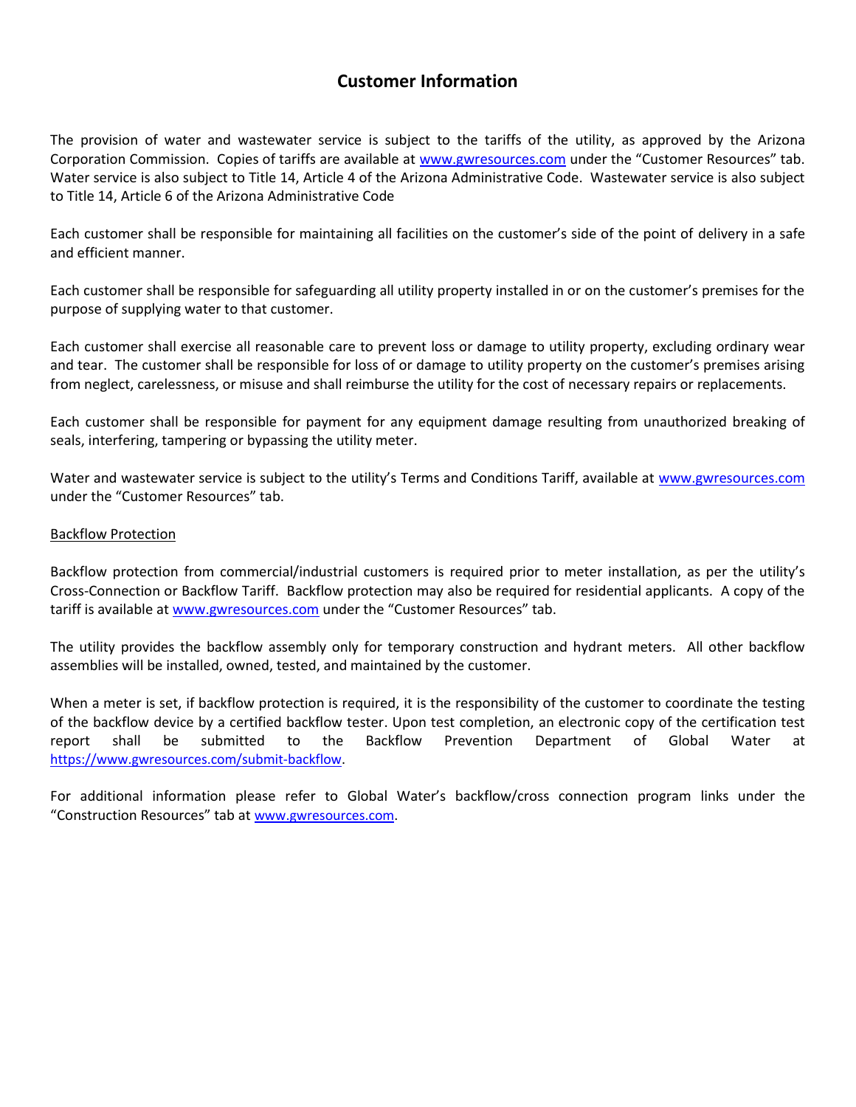## **Customer Information**

The provision of water and wastewater service is subject to the tariffs of the utility, as approved by the Arizona Corporation Commission. Copies of tariffs are available at [www.gwresources.com](http://www.gwresources.com/) under the "Customer Resources" tab. Water service is also subject to Title 14, Article 4 of the Arizona Administrative Code. Wastewater service is also subject to Title 14, Article 6 of the Arizona Administrative Code

Each customer shall be responsible for maintaining all facilities on the customer's side of the point of delivery in a safe and efficient manner.

Each customer shall be responsible for safeguarding all utility property installed in or on the customer's premises for the purpose of supplying water to that customer.

Each customer shall exercise all reasonable care to prevent loss or damage to utility property, excluding ordinary wear and tear. The customer shall be responsible for loss of or damage to utility property on the customer's premises arising from neglect, carelessness, or misuse and shall reimburse the utility for the cost of necessary repairs or replacements.

Each customer shall be responsible for payment for any equipment damage resulting from unauthorized breaking of seals, interfering, tampering or bypassing the utility meter.

Water and wastewater service is subject to the utility's Terms and Conditions Tariff, available at [www.gwresources.com](http://www.gwresources.com/) under the "Customer Resources" tab.

#### Backflow Protection

Backflow protection from commercial/industrial customers is required prior to meter installation, as per the utility's Cross-Connection or Backflow Tariff. Backflow protection may also be required for residential applicants. A copy of the tariff is available at [www.gwresources.com](http://www.gwresources.com/) under the "Customer Resources" tab.

The utility provides the backflow assembly only for temporary construction and hydrant meters. All other backflow assemblies will be installed, owned, tested, and maintained by the customer.

When a meter is set, if backflow protection is required, it is the responsibility of the customer to coordinate the testing of the backflow device by a certified backflow tester. Upon test completion, an electronic copy of the certification test report shall be submitted to the Backflow Prevention Department of Global Water at https://www.gwresources.com/submit-backflow.

For additional information please refer to Global Water's backflow/cross connection program links under the "Construction Resources" tab at www.gwresources.com.